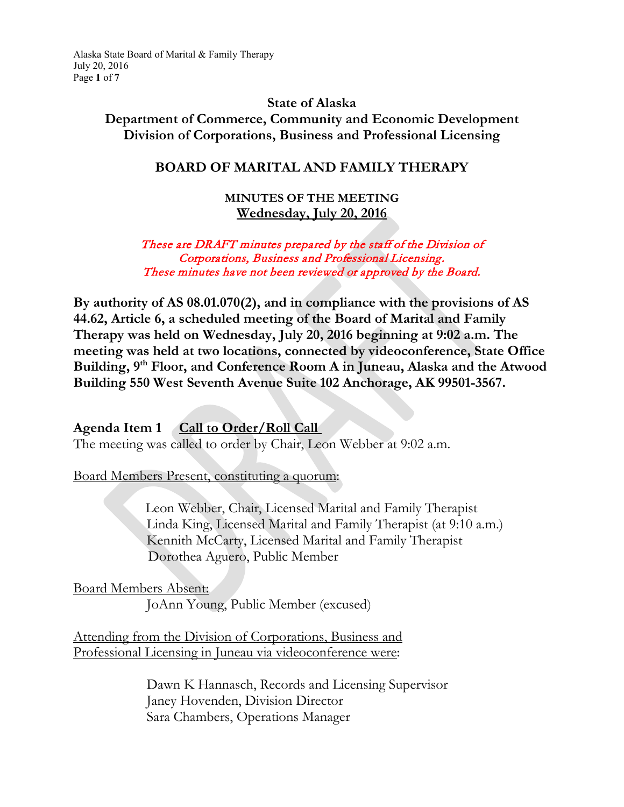Alaska State Board of Marital & Family Therapy July 20, 2016 Page **1** of **7**

### **State of Alaska Department of Commerce, Community and Economic Development Division of Corporations, Business and Professional Licensing**

## **BOARD OF MARITAL AND FAMILY THERAPY**

#### **MINUTES OF THE MEETING Wednesday, July 20, 2016**

#### These are DRAFT minutes prepared by the staff of the Division of Corporations, Business and Professional Licensing. These minutes have not been reviewed or approved by the Board.

**By authority of AS 08.01.070(2), and in compliance with the provisions of AS 44.62, Article 6, a scheduled meeting of the Board of Marital and Family Therapy was held on Wednesday, July 20, 2016 beginning at 9:02 a.m. The meeting was held at two locations, connected by videoconference, State Office Building, 9th Floor, and Conference Room A in Juneau, Alaska and the Atwood Building 550 West Seventh Avenue Suite 102 Anchorage, AK 99501-3567.** 

#### **Agenda Item 1 Call to Order/Roll Call**

The meeting was called to order by Chair, Leon Webber at 9:02 a.m.

Board Members Present, constituting a quorum:

 Leon Webber, Chair, Licensed Marital and Family Therapist Linda King, Licensed Marital and Family Therapist (at 9:10 a.m.) Kennith McCarty, Licensed Marital and Family Therapist Dorothea Aguero, Public Member

Board Members Absent:

JoAnn Young, Public Member (excused)

Attending from the Division of Corporations, Business and Professional Licensing in Juneau via videoconference were:

> Dawn K Hannasch, Records and Licensing Supervisor Janey Hovenden, Division Director Sara Chambers, Operations Manager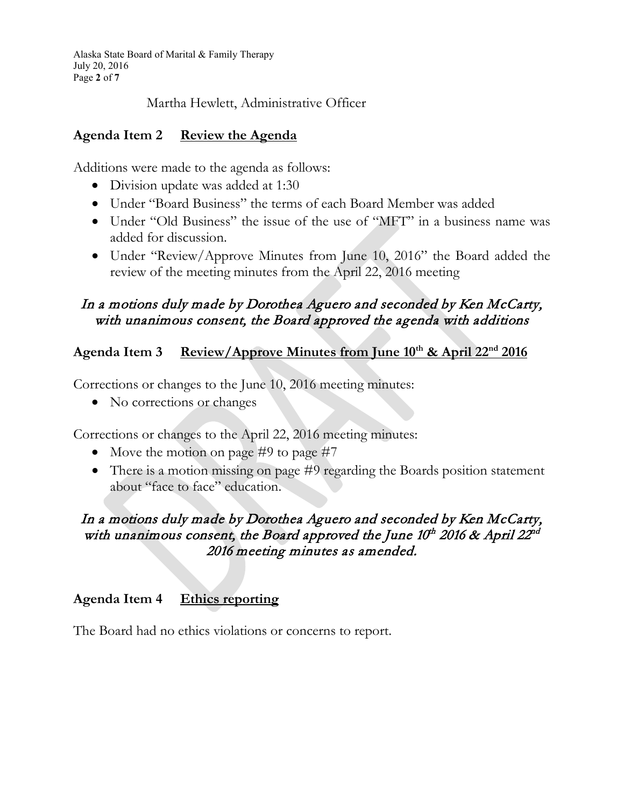Alaska State Board of Marital & Family Therapy July 20, 2016 Page **2** of **7**

Martha Hewlett, Administrative Officer

## **Agenda Item 2 Review the Agenda**

Additions were made to the agenda as follows:

- Division update was added at 1:30
- Under "Board Business" the terms of each Board Member was added
- Under "Old Business" the issue of the use of "MFT" in a business name was added for discussion.
- Under "Review/Approve Minutes from June 10, 2016" the Board added the review of the meeting minutes from the April 22, 2016 meeting

# In a motions duly made by Dorothea Aguero and seconded by Ken McCarty, with unanimous consent, the Board approved the agenda with additions

# **Agenda Item 3 Review/Approve Minutes from June 10th & April 22nd 2016**

Corrections or changes to the June 10, 2016 meeting minutes:

• No corrections or changes

Corrections or changes to the April 22, 2016 meeting minutes:

- Move the motion on page #9 to page #7
- There is a motion missing on page #9 regarding the Boards position statement about "face to face" education.

## In a motions duly made by Dorothea Aguero and seconded by Ken McCarty, with unanimous consent, the Board approved the June  $10^{th}$  2016 & April 22<sup>nd</sup> 2016 meeting minutes as amended.

# **Agenda Item 4 Ethics reporting**

The Board had no ethics violations or concerns to report.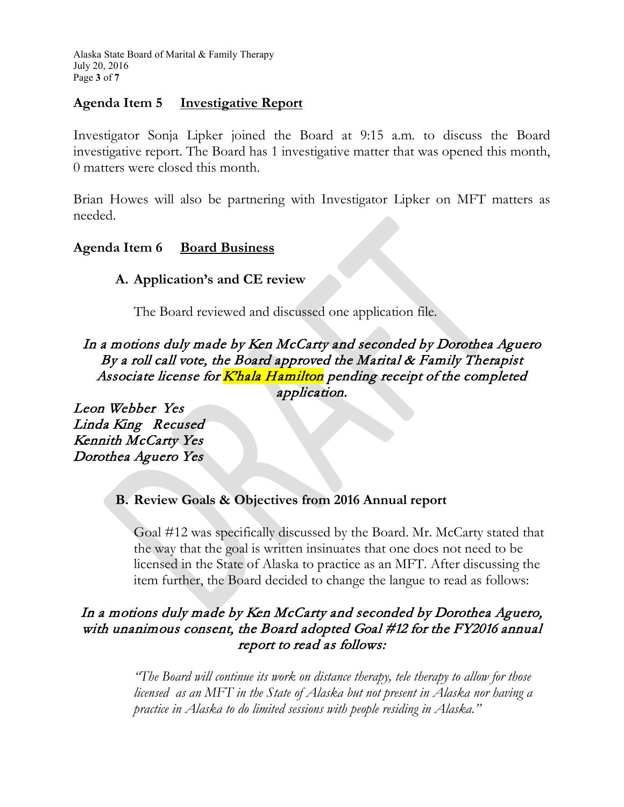Alaska State Board of Marital & Family Therapy July 20, 2016 Page **3** of **7**

## **Agenda Item 5 Investigative Report**

Investigator Sonja Lipker joined the Board at 9:15 a.m. to discuss the Board investigative report. The Board has 1 investigative matter that was opened this month, 0 matters were closed this month.

Brian Howes will also be partnering with Investigator Lipker on MFT matters as needed.

## **Agenda Item 6 Board Business**

## **A. Application's and CE review**

The Board reviewed and discussed one application file.

In a motions duly made by Ken McCarty and seconded by Dorothea Aguero By a roll call vote, the Board approved the Marital & Family Therapist Associate license for Khala Hamilton pending receipt of the completed application.

Leon Webber Yes Linda King Recused Kennith McCarty Yes Dorothea Aguero Yes

## **B. Review Goals & Objectives from 2016 Annual report**

Goal #12 was specifically discussed by the Board. Mr. McCarty stated that the way that the goal is written insinuates that one does not need to be licensed in the State of Alaska to practice as an MFT. After discussing the item further, the Board decided to change the langue to read as follows:

## In a motions duly made by Ken McCarty and seconded by Dorothea Aguero, with unanimous consent, the Board adopted Goal #12 for the FY2016 annual report to read as follows:

*"The Board will continue its work on distance therapy, tele therapy to allow for those licensed as an MFT in the State of Alaska but not present in Alaska nor having a practice in Alaska to do limited sessions with people residing in Alaska."*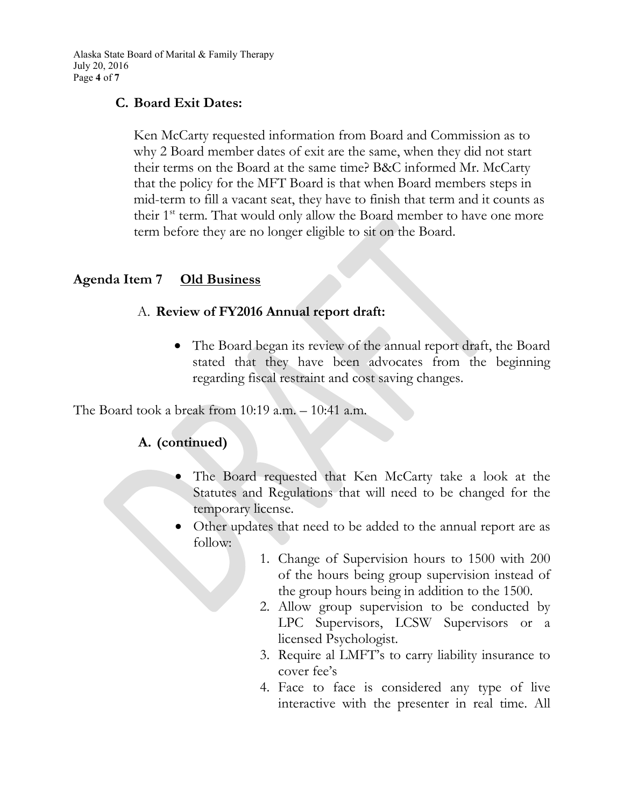Alaska State Board of Marital & Family Therapy July 20, 2016 Page **4** of **7**

### **C. Board Exit Dates:**

Ken McCarty requested information from Board and Commission as to why 2 Board member dates of exit are the same, when they did not start their terms on the Board at the same time? B&C informed Mr. McCarty that the policy for the MFT Board is that when Board members steps in mid-term to fill a vacant seat, they have to finish that term and it counts as their  $1<sup>st</sup>$  term. That would only allow the Board member to have one more term before they are no longer eligible to sit on the Board.

### **Agenda Item 7 Old Business**

### A. **Review of FY2016 Annual report draft:**

• The Board began its review of the annual report draft, the Board stated that they have been advocates from the beginning regarding fiscal restraint and cost saving changes.

The Board took a break from 10:19 a.m. – 10:41 a.m.

# **A. (continued)**

- The Board requested that Ken McCarty take a look at the Statutes and Regulations that will need to be changed for the temporary license.
- Other updates that need to be added to the annual report are as follow:
	- 1. Change of Supervision hours to 1500 with 200 of the hours being group supervision instead of the group hours being in addition to the 1500.
	- 2. Allow group supervision to be conducted by LPC Supervisors, LCSW Supervisors or a licensed Psychologist.
	- 3. Require al LMFT's to carry liability insurance to cover fee's
	- 4. Face to face is considered any type of live interactive with the presenter in real time. All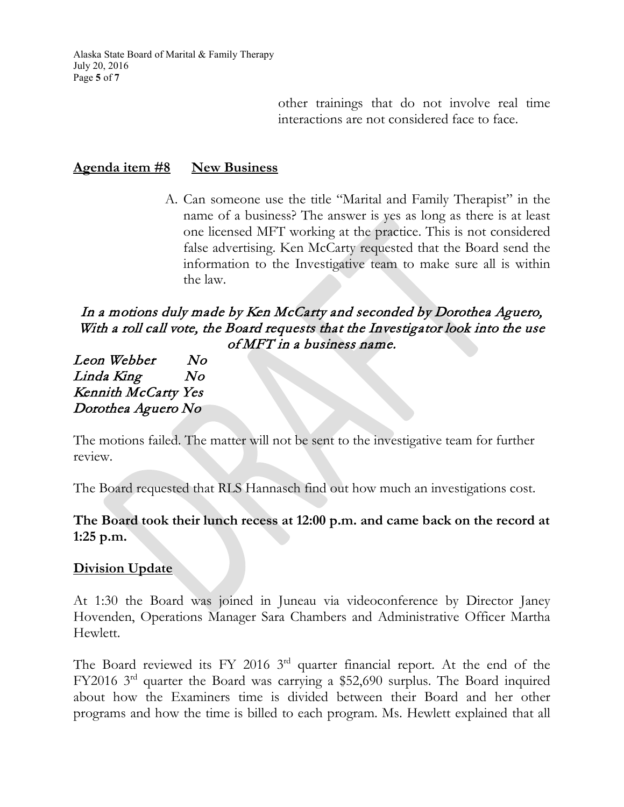Alaska State Board of Marital & Family Therapy July 20, 2016 Page **5** of **7**

> other trainings that do not involve real time interactions are not considered face to face.

#### **Agenda item #8 New Business**

A. Can someone use the title "Marital and Family Therapist" in the name of a business? The answer is yes as long as there is at least one licensed MFT working at the practice. This is not considered false advertising. Ken McCarty requested that the Board send the information to the Investigative team to make sure all is within the law.

## In a motions duly made by Ken McCarty and seconded by Dorothea Aguero, With a roll call vote, the Board requests that the Investigator look into the use of MFT in a business name.

Leon Webber No Linda King No Kennith McCarty Yes Dorothea Aguero No

The motions failed. The matter will not be sent to the investigative team for further review.

The Board requested that RLS Hannasch find out how much an investigations cost.

### **The Board took their lunch recess at 12:00 p.m. and came back on the record at 1:25 p.m.**

#### **Division Update**

At 1:30 the Board was joined in Juneau via videoconference by Director Janey Hovenden, Operations Manager Sara Chambers and Administrative Officer Martha Hewlett.

The Board reviewed its FY 2016 3<sup>rd</sup> quarter financial report. At the end of the FY2016 3rd quarter the Board was carrying a \$52,690 surplus. The Board inquired about how the Examiners time is divided between their Board and her other programs and how the time is billed to each program. Ms. Hewlett explained that all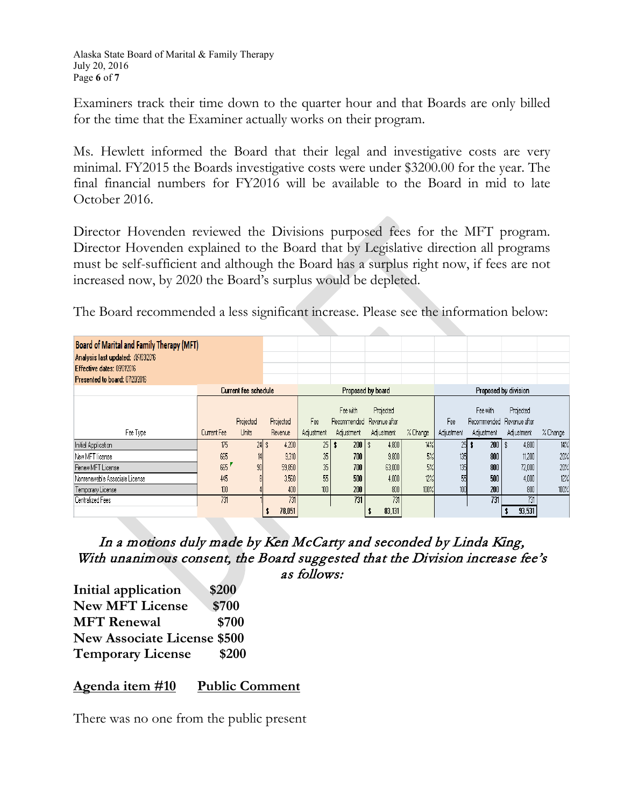Alaska State Board of Marital & Family Therapy July 20, 2016 Page **6** of **7**

Examiners track their time down to the quarter hour and that Boards are only billed for the time that the Examiner actually works on their program.

Ms. Hewlett informed the Board that their legal and investigative costs are very minimal. FY2015 the Boards investigative costs were under \$3200.00 for the year. The final financial numbers for FY2016 will be available to the Board in mid to late October 2016.

Director Hovenden reviewed the Divisions purposed fees for the MFT program. Director Hovenden explained to the Board that by Legislative direction all programs must be self-sufficient and although the Board has a surplus right now, if fees are not increased now, by 2020 the Board's surplus would be depleted.

The Board recommended a less significant increase. Please see the information below:

| Board of Marital and Family Therapy (MFT)<br>Analysis last updated: 06/03/2016<br>Effective dates: 09012016<br>Presented to board: 07/20/2016 |                      |              |           |                   |                                       |            |          |                      |                                       |            |          |
|-----------------------------------------------------------------------------------------------------------------------------------------------|----------------------|--------------|-----------|-------------------|---------------------------------------|------------|----------|----------------------|---------------------------------------|------------|----------|
|                                                                                                                                               | Current fee schedule |              |           | Proposed by board |                                       |            |          | Proposed by division |                                       |            |          |
|                                                                                                                                               |                      | Projected    | Projected | Fee               | Fee with<br>Recommended Revenue after | Projected  |          | Fee                  | Fee with<br>Recommended Revenue after | Projected  |          |
| Fee Type                                                                                                                                      | Current Fee          | <b>Units</b> | Revenue   | Adjustment        | Adjustment                            | Adjustment | % Change | Adjustment           | Adjustment                            | Adjustment | % Change |
| Initial Application                                                                                                                           | 175                  | $24$ \$      | 4,200     | 25 <sub>1</sub>   | $200$   \$                            | 4,800      | 14%      | 25                   | $200$   \$                            | 4,800      | 14%      |
| New MFT license                                                                                                                               | 665                  | 14           | 9,310     | 35                | 700                                   | 9,800      | 5%       | 135                  | 800                                   | 11,200     | 20%      |
| Renew MFT License                                                                                                                             | 665                  | 90           | 59,850    | 35                | 700                                   | 63,000     | 5%       | 135                  | 800                                   | 72,000     | 20%      |
| Nonrenewable Associate License                                                                                                                | 445                  |              | 3,560     | 55                | 500                                   | 4,000      | 12%      | 55                   | 500                                   | 4,000      | 12%      |
| Temporary License                                                                                                                             | 100                  |              | 400       | 100               | 200                                   | 800        | 100%     | 100                  | 200                                   | 800        | 100%     |
| Centralized Fees                                                                                                                              | 731                  |              | 731       |                   | 731                                   | 731        |          |                      | 731                                   | 731        |          |
|                                                                                                                                               |                      |              | 78,051    |                   |                                       | 83,131     |          |                      |                                       | 93,531     |          |

In a motions duly made by Ken McCarty and seconded by Linda King, With unanimous consent, the Board suggested that the Division increase fee's as follows:

**Initial application \$200 New MFT License \$700 MFT Renewal \$700 New Associate License \$500 Temporary License \$200**

#### **Agenda item #10 Public Comment**

There was no one from the public present